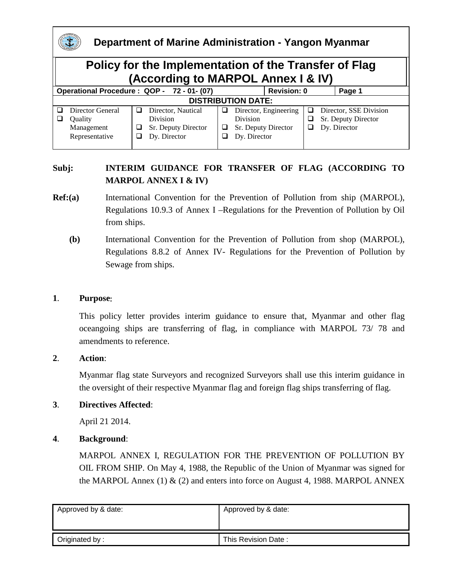|                                                                                             | Department of Marine Administration - Yangon Myanmar |   |                     |        |                       |   |                        |  |  |  |  |
|---------------------------------------------------------------------------------------------|------------------------------------------------------|---|---------------------|--------|-----------------------|---|------------------------|--|--|--|--|
| Policy for the Implementation of the Transfer of Flag<br>(According to MARPOL Annex I & IV) |                                                      |   |                     |        |                       |   |                        |  |  |  |  |
| Operational Procedure: QOP - 72 - 01 - (07)<br><b>Revision: 0</b>                           |                                                      |   |                     |        |                       |   |                        |  |  |  |  |
|                                                                                             |                                                      |   |                     | Page 1 |                       |   |                        |  |  |  |  |
|                                                                                             | <b>DISTRIBUTION DATE:</b>                            |   |                     |        |                       |   |                        |  |  |  |  |
|                                                                                             | Director General                                     | ⊔ | Director, Nautical  | ப      | Director, Engineering | ப | Director, SSE Division |  |  |  |  |
|                                                                                             | Ouality                                              |   | Division            |        | Division              | ப | Sr. Deputy Director    |  |  |  |  |
|                                                                                             | Management                                           | ப | Sr. Deputy Director | ⊔      | Sr. Deputy Director   | ⊔ | Dy. Director           |  |  |  |  |
|                                                                                             | Representative                                       | ⊔ | Dy. Director        |        | Dy. Director          |   |                        |  |  |  |  |

### **Subj: INTERIM GUIDANCE FOR TRANSFER OF FLAG (ACCORDING TO MARPOL ANNEX I & IV)**

- **Ref:(a)** International Convention for the Prevention of Pollution from ship (MARPOL), Regulations 10.9.3 of Annex I –Regulations for the Prevention of Pollution by Oil from ships.
	- **(b)** International Convention for the Prevention of Pollution from shop (MARPOL), Regulations 8.8.2 of Annex IV- Regulations for the Prevention of Pollution by Sewage from ships.

#### **1**. **Purpose**:

This policy letter provides interim guidance to ensure that, Myanmar and other flag oceangoing ships are transferring of flag, in compliance with MARPOL 73/ 78 and amendments to reference.

#### **2**. **Action**:

Myanmar flag state Surveyors and recognized Surveyors shall use this interim guidance in the oversight of their respective Myanmar flag and foreign flag ships transferring of flag.

#### **3**. **Directives Affected**:

April 21 2014.

#### **4**. **Background**:

MARPOL ANNEX I, REGULATION FOR THE PREVENTION OF POLLUTION BY OIL FROM SHIP. On May 4, 1988, the Republic of the Union of Myanmar was signed for the MARPOL Annex  $(1)$  &  $(2)$  and enters into force on August 4, 1988. MARPOL ANNEX

| Approved by & date: | Approved by & date: |  |  |
|---------------------|---------------------|--|--|
|                     |                     |  |  |
| Originated by:      | This Revision Date: |  |  |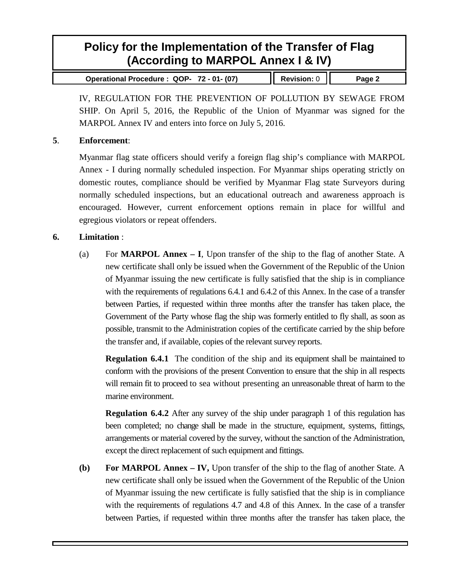# **Policy for the Implementation of the Transfer of Flag (According to MARPOL Annex I & IV)**

**Operational Procedure : QOP- 72 - 01- (07) Revision:** 0 **Page 2**

IV, REGULATION FOR THE PREVENTION OF POLLUTION BY SEWAGE FROM SHIP. On April 5, 2016, the Republic of the Union of Myanmar was signed for the MARPOL Annex IV and enters into force on July 5, 2016.

#### **5**. **Enforcement**:

Myanmar flag state officers should verify a foreign flag ship's compliance with MARPOL Annex - I during normally scheduled inspection. For Myanmar ships operating strictly on domestic routes, compliance should be verified by Myanmar Flag state Surveyors during normally scheduled inspections, but an educational outreach and awareness approach is encouraged. However, current enforcement options remain in place for willful and egregious violators or repeat offenders.

#### **6. Limitation** :

(a) For **MARPOL Annex – I**, Upon transfer of the ship to the flag of another State. A new certificate shall only be issued when the Government of the Republic of the Union of Myanmar issuing the new certificate is fully satisfied that the ship is in compliance with the requirements of regulations 6.4.1 and 6.4.2 of this Annex. In the case of a transfer between Parties, if requested within three months after the transfer has taken place, the Government of the Party whose flag the ship was formerly entitled to fly shall, as soon as possible, transmit to the Administration copies of the certificate carried by the ship before the transfer and, if available, copies of the relevant survey reports.

**Regulation 6.4.1** The condition of the ship and its equipment shall be maintained to conform with the provisions of the present Convention to ensure that the ship in all respects will remain fit to proceed to sea without presenting an unreasonable threat of harm to the marine environment.

**Regulation 6.4.2** After any survey of the ship under paragraph 1 of this regulation has been completed; no change shall be made in the structure, equipment, systems, fittings, arrangements or material covered by the survey, without the sanction of the Administration, except the direct replacement of such equipment and fittings.

**(b) For MARPOL Annex – IV,** Upon transfer of the ship to the flag of another State. A new certificate shall only be issued when the Government of the Republic of the Union of Myanmar issuing the new certificate is fully satisfied that the ship is in compliance with the requirements of regulations 4.7 and 4.8 of this Annex. In the case of a transfer between Parties, if requested within three months after the transfer has taken place, the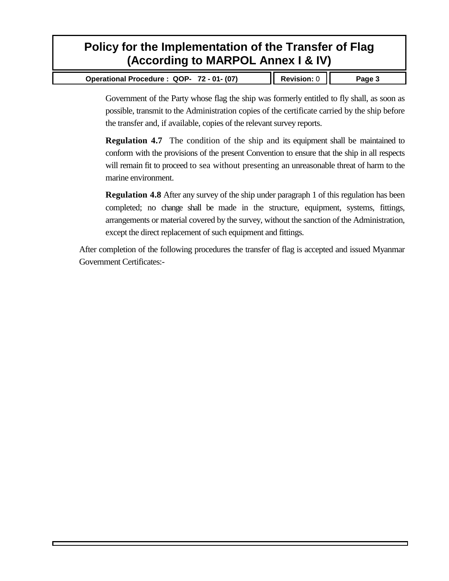# **Policy for the Implementation of the Transfer of Flag (According to MARPOL Annex I & IV)**

| Operational Procedure: QOP- 72 - 01- (07) | $\parallel$ Revision: 0 | Page 3 |
|-------------------------------------------|-------------------------|--------|
|-------------------------------------------|-------------------------|--------|

Government of the Party whose flag the ship was formerly entitled to fly shall, as soon as possible, transmit to the Administration copies of the certificate carried by the ship before the transfer and, if available, copies of the relevant survey reports.

**Regulation 4.7** The condition of the ship and its equipment shall be maintained to conform with the provisions of the present Convention to ensure that the ship in all respects will remain fit to proceed to sea without presenting an unreasonable threat of harm to the marine environment.

**Regulation 4.8** After any survey of the ship under paragraph 1 of this regulation has been completed; no change shall be made in the structure, equipment, systems, fittings, arrangements or material covered by the survey, without the sanction of the Administration, except the direct replacement of such equipment and fittings.

After completion of the following procedures the transfer of flag is accepted and issued Myanmar Government Certificates:-